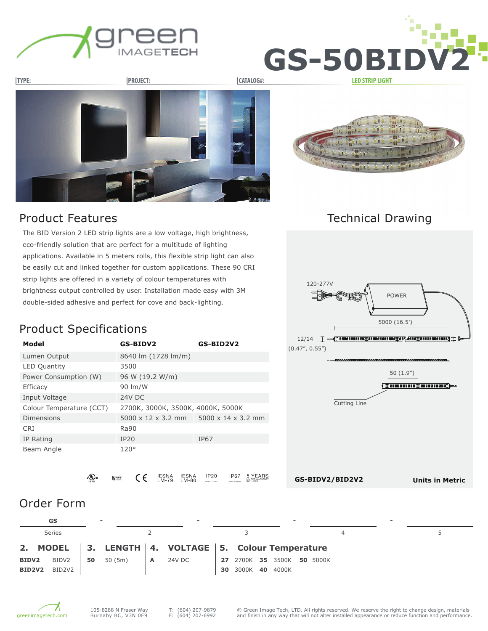







Technical Drawing

The BID Version 2 LED strip lights are a low voltage, high brightness, eco-friendly solution that are perfect for a multitude of lighting applications. Available in 5 meters rolls, this flexible strip light can also be easily cut and linked together for custom applications. These 90 CRI strip lights are offered in a variety of colour temperatures with brightness output controlled by user. Installation made easy with 3M double-sided adhesive and perfect for cove and back-lighting.

### Product Specifications

| Model                    | GS-BIDV2                          | GS-BID2V2                      |
|--------------------------|-----------------------------------|--------------------------------|
| Lumen Output             | 8640 lm (1728 lm/m)               |                                |
| <b>LED Quantity</b>      | 3500                              |                                |
| Power Consumption (W)    | 96 W (19.2 W/m)                   |                                |
| <b>Efficacy</b>          | 90 lm/W                           |                                |
| Input Voltage            | <b>24V DC</b>                     |                                |
| Colour Temperature (CCT) | 2700K, 3000K, 3500K, 4000K, 5000K |                                |
| Dimensions               | $5000 \times 12 \times 3.2$ mm    | $5000 \times 14 \times 3.2$ mm |
| <b>CRI</b>               | Ra90                              |                                |
| IP Rating                | <b>IP20</b>                       | IP67                           |
| Beam Angle               | 120°                              |                                |





**Units in Metric**

**IP20 IP67**  $_{\mathrm{c}}$  (Up) us IESNA<br>LM-79 IESNA<br>LM-80  $\epsilon$ 

# Order Form

| GS                                        |    |         |                | $\overline{\phantom{0}}$                                  |    |                            | $\overline{\phantom{0}}$ |   | - |  |
|-------------------------------------------|----|---------|----------------|-----------------------------------------------------------|----|----------------------------|--------------------------|---|---|--|
| <b>Series</b>                             |    |         |                |                                                           |    |                            |                          | 4 |   |  |
|                                           |    |         |                | 2. MODEL   3. LENGTH   4. VOLTAGE   5. Colour Temperature |    |                            |                          |   |   |  |
| BIDV2<br>BIDV2                            | 50 | 50 (5m) | $\overline{A}$ | 24V DC                                                    |    | 27 2700K 35 3500K 50 5000K |                          |   |   |  |
| BID <sub>2</sub> V <sub>2</sub><br>BID2V2 |    |         |                |                                                           | 30 | 3000K 40                   | 4000K                    |   |   |  |

5 YEARS



**GS-BIDV2/BID2V2**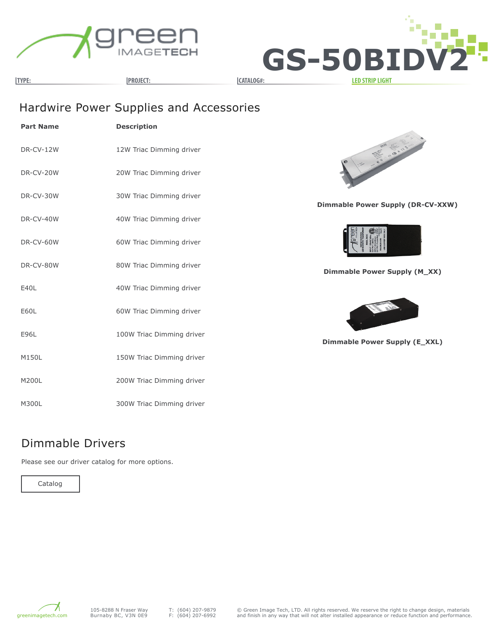



## Hardwire Power Supplies and Accessories

| <b>Part Name</b> | <b>Description</b>        |
|------------------|---------------------------|
| DR-CV-12W        | 12W Triac Dimming driver  |
| DR-CV-20W        | 20W Triac Dimming driver  |
| DR-CV-30W        | 30W Triac Dimming driver  |
| DR-CV-40W        | 40W Triac Dimming driver  |
| DR-CV-60W        | 60W Triac Dimming driver  |
| DR-CV-80W        | 80W Triac Dimming driver  |
| E40L             | 40W Triac Dimming driver  |
| E60L             | 60W Triac Dimming driver  |
| E96L             | 100W Triac Dimming driver |
| M150L            | 150W Triac Dimming driver |
| M200L            | 200W Triac Dimming driver |
| M300L            | 300W Triac Dimming driver |



**Dimmable Power Supply (DR-CV-XXW)**



**Dimmable Power Supply (M\_XX)**



**Dimmable Power Supply (E\_XXL)**

#### Dimmable Drivers

Please see our driver catalog for more options.

Catalog

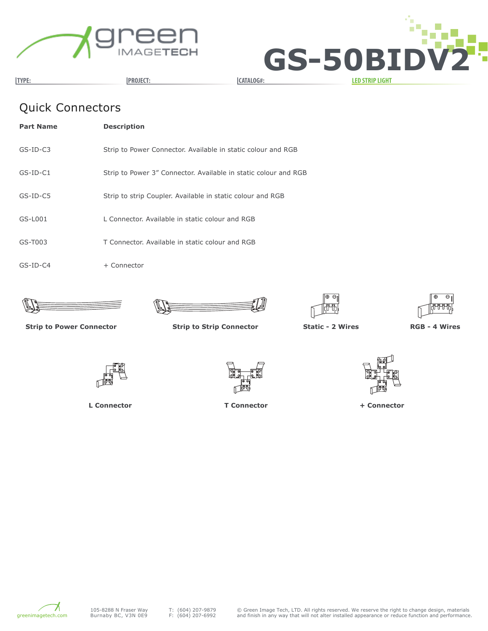



# Quick Connectors

| <b>Part Name</b> | <b>Description</b>                                              |
|------------------|-----------------------------------------------------------------|
| $GS-ID-C3$       | Strip to Power Connector. Available in static colour and RGB    |
| $GS-ID-C1$       | Strip to Power 3" Connector. Available in static colour and RGB |
| $GS$ -ID-C5      | Strip to strip Coupler. Available in static colour and RGB      |
| $GS-L001$        | L Connector. Available in static colour and RGB                 |
| $GS-T003$        | T Connector. Available in static colour and RGB                 |
| $GS$ -ID-C4      | + Connector                                                     |









**Strip to Power Connector Strip to Strip Connector Static - 2 Wires RGB - 4 Wires**